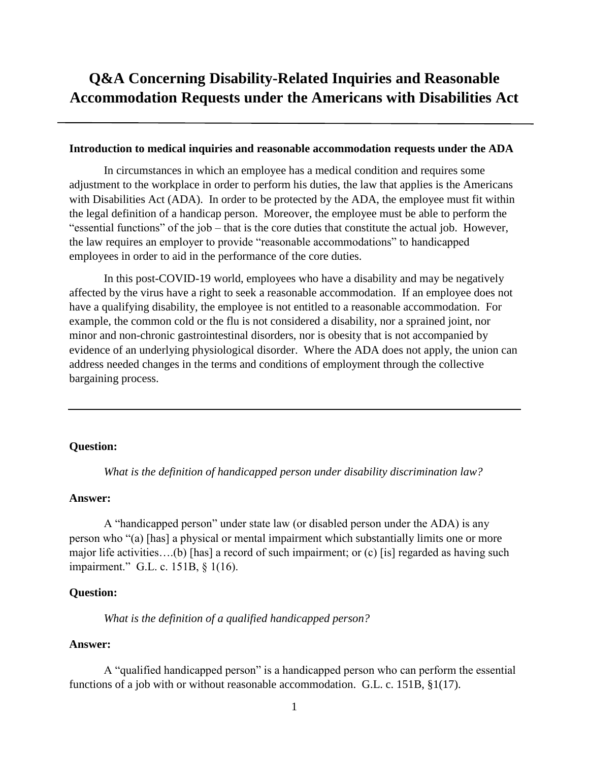# **Q&A Concerning Disability-Related Inquiries and Reasonable Accommodation Requests under the Americans with Disabilities Act**

## **Introduction to medical inquiries and reasonable accommodation requests under the ADA**

In circumstances in which an employee has a medical condition and requires some adjustment to the workplace in order to perform his duties, the law that applies is the Americans with Disabilities Act (ADA). In order to be protected by the ADA, the employee must fit within the legal definition of a handicap person. Moreover, the employee must be able to perform the "essential functions" of the job – that is the core duties that constitute the actual job. However, the law requires an employer to provide "reasonable accommodations" to handicapped employees in order to aid in the performance of the core duties.

In this post-COVID-19 world, employees who have a disability and may be negatively affected by the virus have a right to seek a reasonable accommodation. If an employee does not have a qualifying disability, the employee is not entitled to a reasonable accommodation. For example, the common cold or the flu is not considered a disability, nor a sprained joint, nor minor and non-chronic gastrointestinal disorders, nor is obesity that is not accompanied by evidence of an underlying physiological disorder. Where the ADA does not apply, the union can address needed changes in the terms and conditions of employment through the collective bargaining process.

## **Question:**

*What is the definition of handicapped person under disability discrimination law?*

### **Answer:**

A "handicapped person" under state law (or disabled person under the ADA) is any person who "(a) [has] a physical or mental impairment which substantially limits one or more major life activities….(b) [has] a record of such impairment; or (c) [is] regarded as having such impairment." G.L. c. 151B, § 1(16).

#### **Question:**

*What is the definition of a qualified handicapped person?*

## **Answer:**

A "qualified handicapped person" is a handicapped person who can perform the essential functions of a job with or without reasonable accommodation. G.L. c. 151B, §1(17).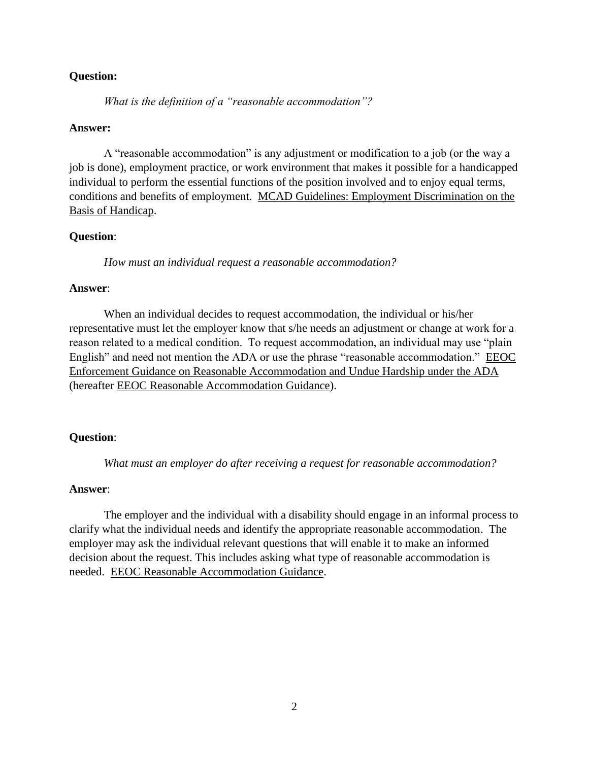*What is the definition of a "reasonable accommodation"?*

#### **Answer:**

A "reasonable accommodation" is any adjustment or modification to a job (or the way a job is done), employment practice, or work environment that makes it possible for a handicapped individual to perform the essential functions of the position involved and to enjoy equal terms, conditions and benefits of employment. MCAD Guidelines: Employment Discrimination on the Basis of Handicap.

#### **Question**:

*How must an individual request a reasonable accommodation?*

## **Answer**:

When an individual decides to request accommodation, the individual or his/her representative must let the employer know that s/he needs an adjustment or change at work for a reason related to a medical condition. To request accommodation, an individual may use "plain English" and need not mention the ADA or use the phrase "reasonable accommodation." EEOC Enforcement Guidance on Reasonable Accommodation and Undue Hardship under the ADA (hereafter EEOC Reasonable Accommodation Guidance).

#### **Question**:

*What must an employer do after receiving a request for reasonable accommodation?*

## **Answer**:

The employer and the individual with a disability should engage in an informal process to clarify what the individual needs and identify the appropriate reasonable accommodation. The employer may ask the individual relevant questions that will enable it to make an informed decision about the request. This includes asking what type of reasonable accommodation is needed. EEOC Reasonable Accommodation Guidance.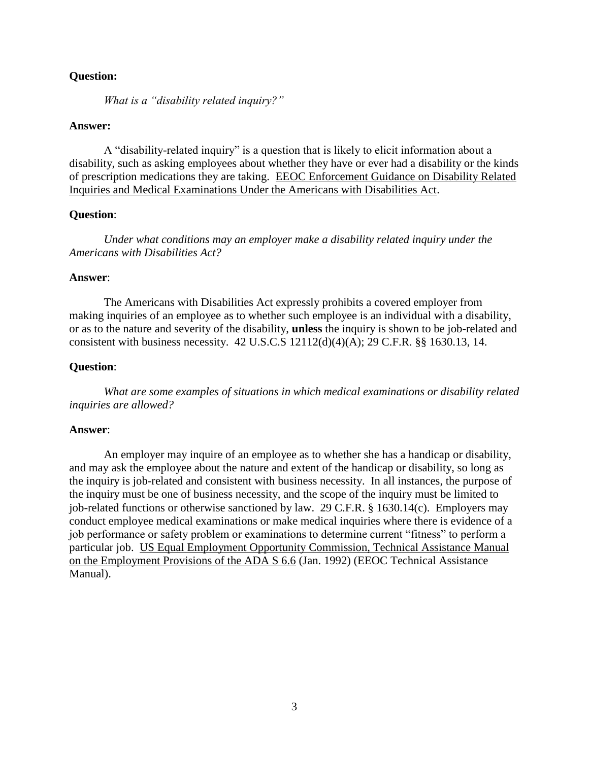*What is a "disability related inquiry?"*

## **Answer:**

A "disability-related inquiry" is a question that is likely to elicit information about a disability, such as asking employees about whether they have or ever had a disability or the kinds of prescription medications they are taking. EEOC Enforcement Guidance on Disability Related Inquiries and Medical Examinations Under the Americans with Disabilities Act.

## **Question**:

*Under what conditions may an employer make a disability related inquiry under the Americans with Disabilities Act?*

#### **Answer**:

The Americans with Disabilities Act expressly prohibits a covered employer from making inquiries of an employee as to whether such employee is an individual with a disability, or as to the nature and severity of the disability, **unless** the inquiry is shown to be job-related and consistent with business necessity. 42 U.S.C.S 12112(d)(4)(A); 29 C.F.R. §§ 1630.13, 14.

## **Question**:

*What are some examples of situations in which medical examinations or disability related inquiries are allowed?*

#### **Answer**:

An employer may inquire of an employee as to whether she has a handicap or disability, and may ask the employee about the nature and extent of the handicap or disability, so long as the inquiry is job-related and consistent with business necessity. In all instances, the purpose of the inquiry must be one of business necessity, and the scope of the inquiry must be limited to job-related functions or otherwise sanctioned by law. 29 C.F.R. § 1630.14(c). Employers may conduct employee medical examinations or make medical inquiries where there is evidence of a job performance or safety problem or examinations to determine current "fitness" to perform a particular job. US Equal Employment Opportunity Commission, Technical Assistance Manual on the Employment Provisions of the ADA S 6.6 (Jan. 1992) (EEOC Technical Assistance Manual).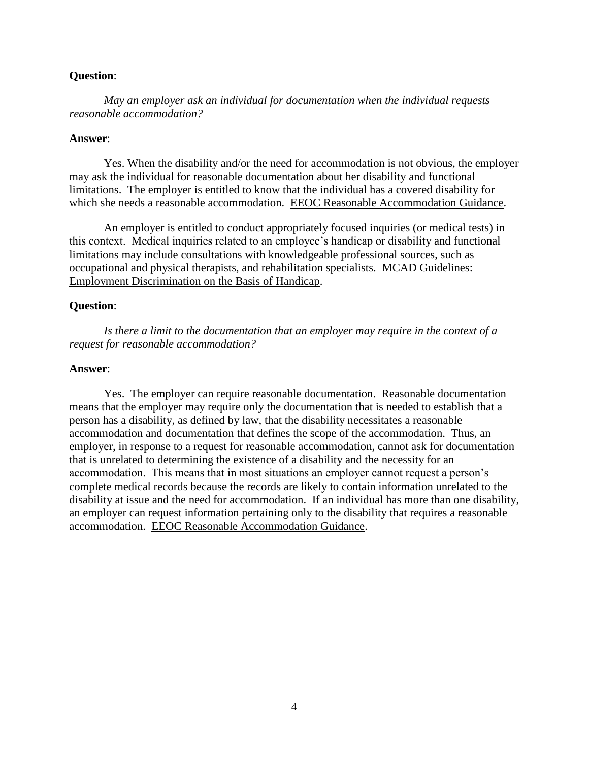*May an employer ask an individual for documentation when the individual requests reasonable accommodation?*

#### **Answer**:

Yes. When the disability and/or the need for accommodation is not obvious, the employer may ask the individual for reasonable documentation about her disability and functional limitations. The employer is entitled to know that the individual has a covered disability for which she needs a reasonable accommodation. EEOC Reasonable Accommodation Guidance.

An employer is entitled to conduct appropriately focused inquiries (or medical tests) in this context. Medical inquiries related to an employee's handicap or disability and functional limitations may include consultations with knowledgeable professional sources, such as occupational and physical therapists, and rehabilitation specialists. MCAD Guidelines: Employment Discrimination on the Basis of Handicap.

## **Question**:

*Is there a limit to the documentation that an employer may require in the context of a request for reasonable accommodation?*

#### **Answer**:

Yes. The employer can require reasonable documentation. Reasonable documentation means that the employer may require only the documentation that is needed to establish that a person has a disability, as defined by law, that the disability necessitates a reasonable accommodation and documentation that defines the scope of the accommodation. Thus, an employer, in response to a request for reasonable accommodation, cannot ask for documentation that is unrelated to determining the existence of a disability and the necessity for an accommodation. This means that in most situations an employer cannot request a person's complete medical records because the records are likely to contain information unrelated to the disability at issue and the need for accommodation. If an individual has more than one disability, an employer can request information pertaining only to the disability that requires a reasonable accommodation. EEOC Reasonable Accommodation Guidance.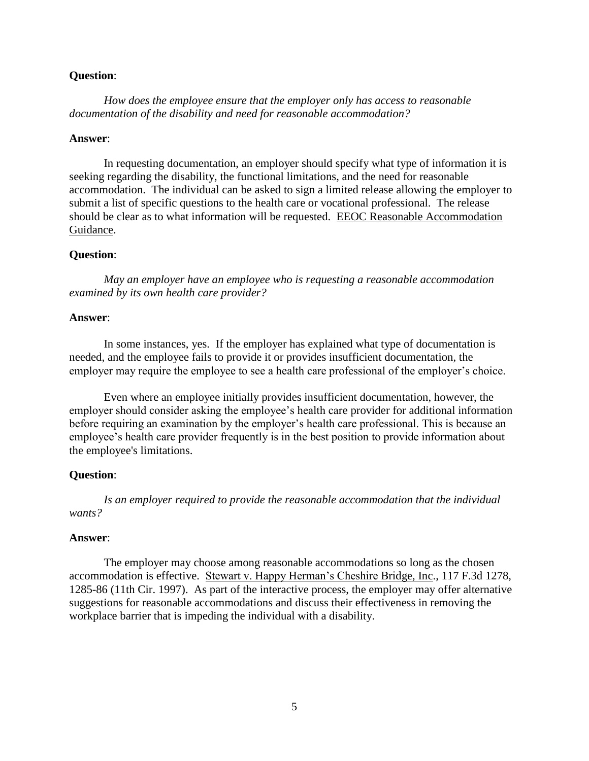*How does the employee ensure that the employer only has access to reasonable documentation of the disability and need for reasonable accommodation?*

#### **Answer**:

In requesting documentation, an employer should specify what type of information it is seeking regarding the disability, the functional limitations, and the need for reasonable accommodation. The individual can be asked to sign a limited release allowing the employer to submit a list of specific questions to the health care or vocational professional. The release should be clear as to what information will be requested. EEOC Reasonable Accommodation Guidance.

#### **Question**:

*May an employer have an employee who is requesting a reasonable accommodation examined by its own health care provider?*

## **Answer**:

In some instances, yes. If the employer has explained what type of documentation is needed, and the employee fails to provide it or provides insufficient documentation, the employer may require the employee to see a health care professional of the employer's choice.

Even where an employee initially provides insufficient documentation, however, the employer should consider asking the employee's health care provider for additional information before requiring an examination by the employer's health care professional. This is because an employee's health care provider frequently is in the best position to provide information about the employee's limitations.

## **Question**:

*Is an employer required to provide the reasonable accommodation that the individual wants?*

## **Answer**:

The employer may choose among reasonable accommodations so long as the chosen accommodation is effective. Stewart v. Happy Herman's Cheshire Bridge, Inc., 117 F.3d 1278, 1285-86 (11th Cir. 1997). As part of the interactive process, the employer may offer alternative suggestions for reasonable accommodations and discuss their effectiveness in removing the workplace barrier that is impeding the individual with a disability.